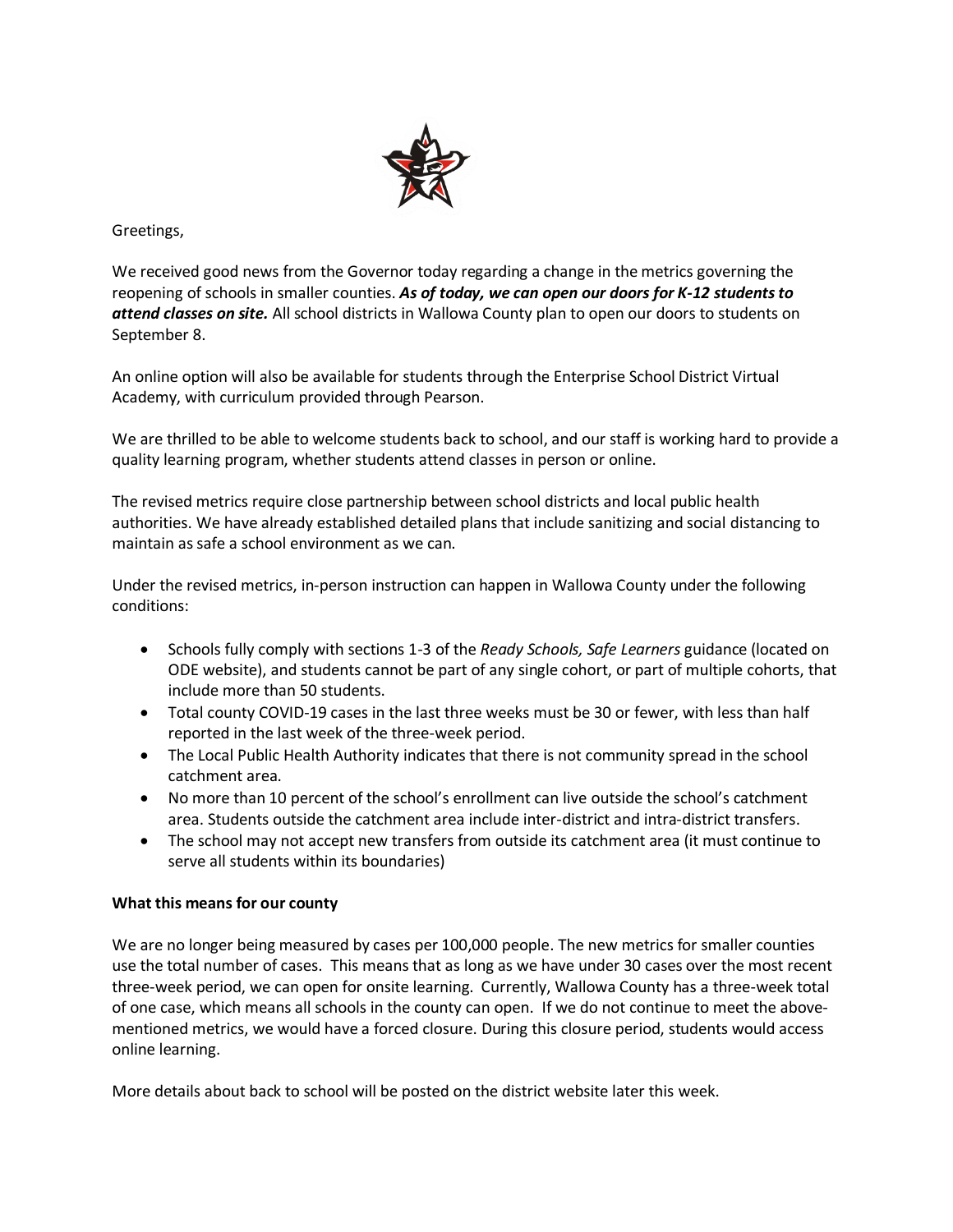

Greetings,

We received good news from the Governor today regarding a change in the metrics governing the reopening of schools in smaller counties. *As of today, we can open our doors for K-12 students to attend classes on site.* All school districts in Wallowa County plan to open our doors to students on September 8.

An online option will also be available for students through the Enterprise School District Virtual Academy, with curriculum provided through Pearson.

We are thrilled to be able to welcome students back to school, and our staff is working hard to provide a quality learning program, whether students attend classes in person or online.

The revised metrics require close partnership between school districts and local public health authorities. We have already established detailed plans that include sanitizing and social distancing to maintain as safe a school environment as we can.

Under the revised metrics, in-person instruction can happen in Wallowa County under the following conditions:

- Schools fully comply with sections 1-3 of the *Ready Schools, Safe Learners* guidance (located on ODE website), and students cannot be part of any single cohort, or part of multiple cohorts, that include more than 50 students.
- Total county COVID-19 cases in the last three weeks must be 30 or fewer, with less than half reported in the last week of the three-week period.
- The Local Public Health Authority indicates that there is not community spread in the school catchment area.
- No more than 10 percent of the school's enrollment can live outside the school's catchment area. Students outside the catchment area include inter-district and intra-district transfers.
- The school may not accept new transfers from outside its catchment area (it must continue to serve all students within its boundaries)

## **What this means for our county**

We are no longer being measured by cases per 100,000 people. The new metrics for smaller counties use the total number of cases. This means that as long as we have under 30 cases over the most recent three-week period, we can open for onsite learning. Currently, Wallowa County has a three-week total of one case, which means all schools in the county can open. If we do not continue to meet the abovementioned metrics, we would have a forced closure. During this closure period, students would access online learning.

More details about back to school will be posted on the district website later this week.